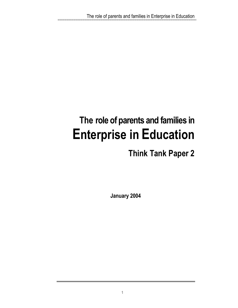# **The role of parents and families in Enterprise in Education**

## **Think Tank Paper 2**

**January 2004**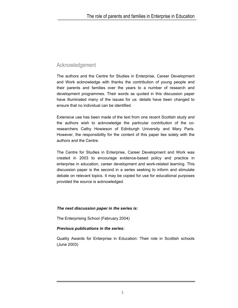### Acknowledgement

The authors and the Centre for Studies in Enterprise, Career Development and Work acknowledge with thanks the contribution of young people and their parents and families over the years to a number of research and development programmes. Their words as quoted in this discussion paper have illuminated many of the issues for us: details have been changed to ensure that no individual can be identified.

Extensive use has been made of the text from one recent Scottish study and the authors wish to acknowledge the particular contribution of the coresearchers Cathy Howieson of Edinburgh University and Mary Paris. However, the responsibility for the content of this paper lies solely with the authors and the Centre.

The Centre for Studies in Enterprise, Career Development and Work was created in 2003 to encourage evidence-based policy and practice in enterprise in education, career development and work-related learning. This discussion paper is the second in a series seeking to inform and stimulate debate on relevant topics. It may be copied for use for educational purposes provided the source is acknowledged.

#### *The next discussion paper in the series is:*

The Enterprising School (February 2004)

#### *Previous publications in the series:*

Quality Awards for Enterprise in Education: Their role in Scottish schools (June 2003)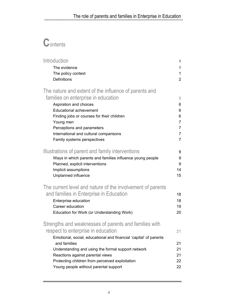## The role of parents and families in Enterprise in Education<br>manufacture in the contractor of the contractor of the contractor of the contractor of the contractor of the contractor of the contractor of the contractor of the

## **C**ontents

| Introduction                                                      | 1              |
|-------------------------------------------------------------------|----------------|
| The evidence                                                      | 1              |
| The policy context                                                | 1              |
| Definitions                                                       | $\overline{2}$ |
| The nature and extent of the influence of parents and             |                |
| families on enterprise in education                               | 5              |
| Aspiration and choices                                            | 6              |
| <b>Educational achievement</b>                                    | 6              |
| Finding jobs or courses for their children                        | 6              |
| Young men                                                         | $\overline{7}$ |
| Perceptions and parameters                                        | $\overline{7}$ |
| International and cultural comparisons                            | $\overline{7}$ |
| Family systems perspectives                                       | $\overline{7}$ |
| Illustrations of parent and family interventions                  | 9              |
| Ways in which parents and families influence young people         | 9              |
| Planned, explicit interventions                                   | 9              |
| Implicit assumptions                                              | 14             |
| Unplanned influence                                               | 15             |
| The current level and nature of the involvement of parents        |                |
| and families in Enterprise in Education                           | 18             |
| Enterprise education                                              | 18             |
| Career education                                                  | 19             |
| Education for Work (or Understanding Work)                        | 20             |
| Strengths and weaknesses of parents and families with             |                |
| respect to enterprise in education                                | 21             |
| Emotional, social, educational and financial 'capital' of parents |                |
| and families                                                      | 21             |
| Understanding and using the formal support network                | 21             |
| Reactions against parental views                                  | 21             |
| Protecting children from perceived exploitation                   | 22             |
| Young people without parental support                             | 22             |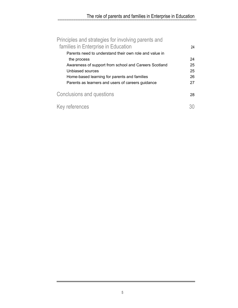## The role of parents and families in Enterprise in Education<br>manufacture in the contract of the contract of the contract of the contract of the contract of the contract of

| Principles and strategies for involving parents and                                           |    |
|-----------------------------------------------------------------------------------------------|----|
| families in Enterprise in Education<br>Parents need to understand their own role and value in | 24 |
| the process                                                                                   | 24 |
| Awareness of support from school and Careers Scotland                                         | 25 |
| Unbiased sources                                                                              | 25 |
| Home-based learning for parents and families                                                  | 26 |
| Parents as learners and users of careers guidance                                             | 27 |
| Conclusions and questions                                                                     | 28 |
| Key references                                                                                |    |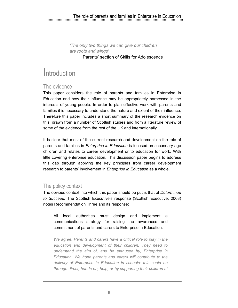*'The only two things we can give our children are roots and wings'*  Parents' section of Skills for Adolescence

## **I**ntroduction

### The evidence

This paper considers the role of parents and families in Enterprise in Education and how their influence may be appropriately harnessed in the interests of young people. In order to plan effective work with parents and families it is necessary to understand the nature and extent of their influence. Therefore this paper includes a short summary of the research evidence on this, drawn from a number of Scottish studies and from a literature review of some of the evidence from the rest of the UK and internationally.

It is clear that most of the current research and development on the role of parents and families in *Enterprise in Education* is focused on secondary age children and relates to career development or to education for work. With little covering enterprise education. This discussion paper begins to address this gap through applying the key principles from career development research to parents' involvement in *Enterprise in Education* as a whole.

### The policy context

The obvious context into which this paper should be put is that of *Determined to Succeed.* The Scottish Executive's response (Scottish Executive, 2003) notes Recommendation Three and its response:

All local authorities must design and implement a communications strategy for raising the awareness and commitment of parents and carers to Enterprise in Education.

*We agree. Parents and carers have a critical role to play in the education and development of their children. They need to understand the aim of, and be enthused by, Enterprise in Education. We hope parents and carers will contribute to the delivery of Enterprise in Education in schools: this could be through direct, hands-on, help; or by supporting their children at*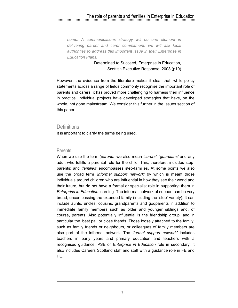## The role of parents and families in Enterprise in Education<br>municipality in the magnetic contract of the magnetic community

*home. A communications strategy will be one element in delivering parent and carer commitment: we will ask local authorities to address this important issue in their Enterprise in Education Plans.* 

> Determined to Succeed, Enterprise in Education, Scottish Executive Response. 2003 (p10)

However, the evidence from the literature makes it clear that, while policy statements across a range of fields commonly recognise the important role of parents and carers, it has proved more challenging to harness their influence in practice. Individual projects have developed strategies that have, on the whole, not gone mainstream. We consider this further in the Issues section of this paper.

#### **Definitions**

It is important to clarify the terms being used.

#### **Parents**

When we use the term *'parents'* we also mean *'carers'*, *'guardians'* and any adult who fulfills a parental role for the child. This, therefore, includes stepparents; and *'families'* encompasses step-families. At some points we also use the broad term *'informal support network'* by which is meant those individuals around children who are influential in how they see their world and their future, but do not have a formal or specialist role in supporting them in *Enterprise in Education* learning. The informal network of support can be very broad, encompassing the extended family (including the 'step' variety). It can include aunts, uncles, cousins, grandparents and godparents in addition to immediate family members such as older and younger siblings and, of course, parents. Also potentially influential is the friendship group, and in particular the 'best pal' or close friends. Those loosely attached to the family, such as family friends or neighbours, or colleagues of family members are also part of the informal network. The *'formal support network'* includes teachers in early years and primary education and teachers with a recognised guidance, PSE or *Enterprise in Education* role in secondary; it also includes Careers Scotland staff and staff with a guidance role in FE and HE.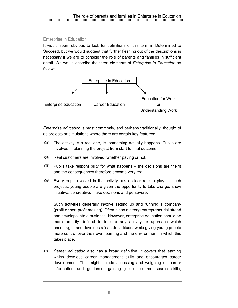### Enterprise in Education

It would seem obvious to look for definitions of this term in Determined to Succeed, but we would suggest that further fleshing out of the descriptions is necessary if we are to consider the role of parents and families in sufficient detail. We would describe the three elements of *Enterprise in Education* as follows:



*Enterprise education* is most commonly, and perhaps traditionally, thought of as projects or simulations where there are certain key features:

- $\bullet$ The activity is a real one, ie. something actually happens. Pupils are involved in planning the project from start to final outcome.
- Real customers are involved, whether paying or not.
- $\bullet$  Pupils take responsibility for what happens the decisions are theirs and the consequences therefore become very real
- Every pupil involved in the activity has a clear role to play. In such projects, young people are given the opportunity to take charge, show initiative, be creative, make decisions and persevere.

Such activities generally involve setting up and running a company (profit or non-profit making). Often it has a strong entrepreneurial strand and develops into a business. However, enterprise education should be more broadly defined to include any activity or approach which encourages and develops a 'can do' attitude, while giving young people more control over their own learning and the environment in which this takes place.

*Career education* also has a broad definition. It covers that learning which develops career management skills and encourages career development. This might include accessing and weighing up career information and guidance; gaining job or course search skills;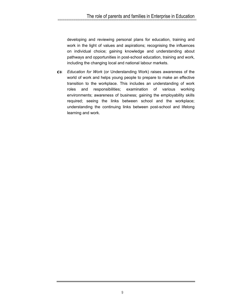developing and reviewing personal plans for education, training and work in the light of values and aspirations; recognising the influences on individual choice; gaining knowledge and understanding about pathways and opportunities in post-school education, training and work, including the changing local and national labour markets.

*Education for Work* (or Understanding Work) raises awareness of the world of work and helps young people to prepare to make an effective transition to the workplace. This includes an understanding of work roles and responsibilities; examination of various working environments; awareness of business; gaining the employability skills required; seeing the links between school and the workplace; understanding the continuing links between post-school and lifelong learning and work.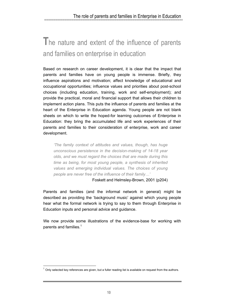## **T**he nature and extent of the influence of parents and families on enterprise in education

Based on research on career development, it is clear that the impact that parents and families have on young people is immense. Briefly, they influence aspirations and motivation; affect knowledge of educational and occupational opportunities; influence values and priorities about post-school choices (including education, training, work and self-employment); and provide the practical, moral and financial support that allows their children to implement action plans. This puts the influence of parents and families at the heart of the Enterprise in Education agenda. Young people are not blank sheets on which to write the hoped-for learning outcomes of Enterprise in Education: they bring the accumulated life and work experiences of their parents and families to their consideration of enterprise, work and career development.

*'The family context of attitudes and values, though, has huge unconscious persistence in the decision-making of 14-18 year olds, and we must regard the choices that are made during this time as being, for most young people, a synthesis of inherited values and emerging individual values. The choices of young people are never free of the influence of their family…'* 

Foskett and Helmsley-Brown, 2001 (p204)

Parents and families (and the informal network in general) might be described as providing the 'background music' against which young people hear what the formal network is trying to say to them through Enterprise in Education inputs and personal advice and guidance.

We now provide some illustrations of the evidence-base for working with parents and families.<sup>1</sup>

-

<sup>1</sup> Only selected key references are given, but a fuller reading list is available on request from the authors.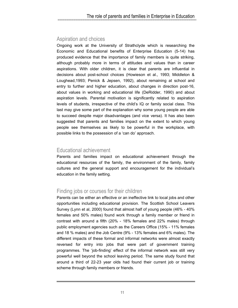## Aspiration and choices

Ongoing work at the University of Strathclyde which is researching the Economic and Educational benefits of Enterprise Education (5-14) has produced evidence that the importance of family members is quite striking, although probably more in terms of attitudes and values than in career aspirations. With older children, it is clear that parents are influential in decisions about post-school choices (Howieson et al., 1993; Middleton & Loughead,1993; Penick & Jepsen, 1992), about remaining at school and entry to further and higher education, about changes in direction post-16, about values in working and educational life (DeRidder, 1990) and about aspiration levels. Parental motivation is significantly related to aspiration levels of students, irrespective of the child's IQ or family social class. This last may give some part of the explanation why some young people are able to succeed despite major disadvantages (and vice versa). It has also been suggested that parents and families impact on the extent to which young people see themselves as likely to be powerful in the workplace, with possible links to the possession of a 'can do' approach.

## Educational achievement

Parents and families impact on educational achievement through the educational resources of the family, the environment of the family, family cultures and the general support and encouragement for the individual's education in the family setting.

## Finding jobs or courses for their children

Parents can be either an effective or an ineffective link to local jobs and other opportunities including educational provision. The Scottish School Leavers Survey (Lynn et al, 2000) found that almost half of young people (46% - 40% females and 50% males) found work through a family member or friend in contrast with around a fifth (20% - 18% females and 22% males) through public employment agencies such as the Careers Office (15% - 11% females and 18 % males) and the Job Centre (9% - 13% females and 6% males). The different impacts of these formal and informal networks were almost exactly reversed for entry into jobs that were part of government training programmes. The 'job-finding' effect of the informal network was still very powerful well beyond the school leaving period. The same study found that around a third of 22-23 year olds had found their current job or training scheme through family members or friends.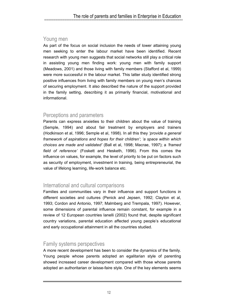## Young men

As part of the focus on social inclusion the needs of lower attaining young men seeking to enter the labour market have been identified. Recent research with young men suggests that social networks still play a critical role in assisting young men finding work: young men with family support (Meadows, 2001) and those living with family members (Stafford et al, 1999) were more successful in the labour market. This latter study identified strong positive influences from living with family members on young men's chances of securing employment. It also described the nature of the support provided in the family setting, describing it as primarily financial, motivational and informational.

## Perceptions and parameters

Parents can express anxieties to their children about the value of training (Semple, 1994) and about fair treatment by employers and trainers (Hodkinson et al, 1996; Semple et al, 1998). In all this they *'provide a general framework of aspirations and hopes for their children'*; *'a space within which choices are made and validated'* (Ball et al, 1998; Macrae, 1997); a *'framed field of reference'* (Foskett and Hesketh, 1996). From this comes the influence on values, for example, the level of priority to be put on factors such as security of employment, investment in training, being entrepreneurial, the value of lifelong learning, life-work balance etc.

### International and cultural comparisons

Families and communities vary in their influence and support functions in different societies and cultures (Penick and Jepsen, 1992; Clayton et al, 1993; Cordon and Antonio, 1997; Malmberg and Trempala, 1997). However, some dimensions of parental influence remain constant, for example in a review of 12 European countries Ianelli (2002) found that, despite significant country variations, parental education affected young people's educational and early occupational attainment in all the countries studied.

### Family systems perspectives

A more recent development has been to consider the dynamics of the family. Young people whose parents adopted an egalitarian style of parenting showed increased career development compared with those whose parents adopted an authoritarian or laisse-faire style. One of the key elements seems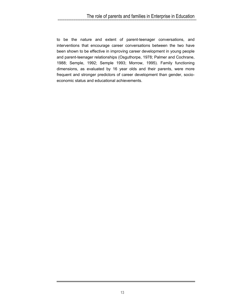## The role of parents and families in Enterprise in Education<br>manufacture in the contractor of the contractor of the contractor of the contractor of the contractor of the contractor of the contractor of the contractor of the

to be the nature and extent of parent-teenager conversations, and interventions that encourage career conversations between the two have been shown to be effective in improving career development in young people and parent-teenager relationships (Osguthorpe, 1978; Palmer and Cochrane, 1988; Semple, 1992; Semple 1993; Morrow, 1995). Family functioning dimensions, as evaluated by 16 year olds and their parents, were more frequent and stronger predictors of career development than gender, socioeconomic status and educational achievements.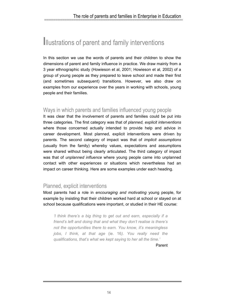## **I**llustrations of parent and family interventions

In this section we use the words of parents and their children to show the dimensions of parent and family influence in practice. We draw mainly from a 3 year ethnographic study (Howieson et al, 2001; Howieson et al, 2002) of a group of young people as they prepared to leave school and made their first (and sometimes subsequent) transitions. However, we also draw on examples from our experience over the years in working with schools, young people and their families.

### Ways in which parents and families influenced young people

It was clear that the involvement of parents and families could be put into three categories. The first category was that of *planned, explicit interventions* where those concerned actually intended to provide help and advice in career development. Most planned, explicit interventions were driven by parents. The second category of impact was that of *implicit assumptions* (usually from the family) whereby values, expectations and assumptions were shared without being clearly articulated. The third category of impact was that of *unplanned influence* where young people came into unplanned contact with other experiences or situations which nevertheless had an impact on career thinking. Here are some examples under each heading.

### Planned, explicit interventions

Most parents had a role in *encouraging and motivating* young people, for example by insisting that their children worked hard at school or stayed on at school because qualifications were important, or studied in their HE course:

*'I think there's a big thing to get out and earn, especially if a friend's left and doing that and what they don't realise is there's not the opportunities there to earn. You know, it's meaningless jobs, I think, at that age* (ie. 16*). You really need the qualifications, that's what we kept saying to her all the time.'* 

Parent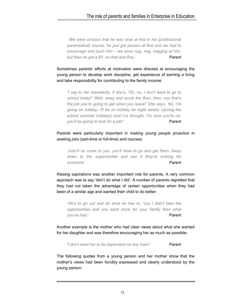## The role of parents and families in Enterprise in Education<br>municipality in the magnetic contract of the magnetic community

 *'We were anxious that he was slow at first in his (professional paramedical) course, he just got passes at first and we had to encourage and push him – we were nag, nag, nagging at him, but then he got a B1, so that was fine.'* Parent

Sometimes parents' efforts at motivation were directed at encouraging the young person to develop work discipline, get experience of earning a living and take responsibility for contributing to the family income:

*'I say to her repeatedly, if she's, 'Oh, no, I don't want to go to school today!' 'Well, away and scrub the floor, then, cos that's the job you're going to get when you leave!' She says, 'No, I'm going on holiday, I'll be on holiday for eight weeks'* (during the school summer holidays) *and I've thought, 'I'm sure you're no, you'll be going to look for a job!'* Parent

Parents were particularly important in *making young people proactive in seeking jobs* (part-time or full-time) and courses:

'*Jobs'll no come to you, you'll have to go and get them. Away down to the supermarket and see if they're looking for someone'* Parent

*Raising aspirations* was another important role for parents. A very common approach was to say 'don't do what I did'. A number of parents regretted that they had not taken the advantage of certain opportunities when they had been of a similar age and wanted their child to do better:

*'He's to go out and do what he has to, 'cos I didn't take the opportunities and you want more for your family than what you've had.'* Parent

Another example is the mother who had clear views about what she wanted for her daughter and was therefore encouraging her as much as possible:

*'I don't want her to be dependent on any man!'* Parent

The following quotes from a young person and her mother show that the mother's views had been forcibly expressed and clearly understood by the young person: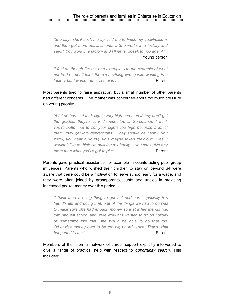## The role of parents and families in Enterprise in Education<br>municipality in the magnetic contractor of the magnetic contractor of the magnetic contractor of the magnetic

*'She says she'll back me up, told me to finish my qualifications and then get more qualifications…. She works in a factory and says " You work in a factory and I'll never speak to you again!"'* 

Young person

*'I feel as though I'm the bad example, I'm the example of what not to do, I don't think there's anything wrong with working in a*  factory but I would rather she didn't.' Parent

Most parents tried to raise aspiration, but a small number of other parents had different concerns. One mother was concerned about too much pressure on young people:

*'A lot of them set their sights very high and then if they don't get the grades, they're very disappointed…. Sometimes I think you're better not to set your sights too high because a lot of them, they get into depressions. They should be happy, you know, you hear a young' un's maybe taken their own lives, I wouldn't like to think I'm pushing my family… you can't give any more than what you've got to give.'* Parent

Parents gave practical assistance, for example in counteracting peer group influences. Parents who wished their children to stay on beyond S4 were aware that there could be a motivation to leave school early for a wage, and they were often joined by grandparents, aunts and uncles in providing increased pocket money over this period;

*'I think there's a big thing to get out and earn, specially if a friend's left and doing that, one of the things we had to do was to make sure she had enough money so that if her friends (*i.e. that had left school and were working*) wanted to go on holiday or something like that, she would be able to do that too. Otherwise money gets to be too big an influence. That's what happened to me.'* Parent

Members of the informal network of career support explicitly intervened to give a range of practical help with respect to *opportunity search*. This included: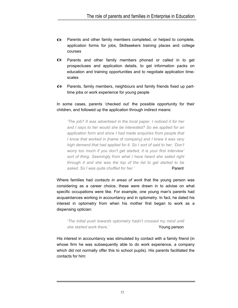- Parents and other family members completed, or helped to complete,  $\bullet$ application forms for jobs, Skillseekers training places and college courses
- Parents and other family members phoned or called in to get prospectuses and application details, to get information packs on education and training opportunities and to negotiate application timescales
- Parents, family members, neighbours and family friends fixed up parttime jobs or work experience for young people

In some cases, parents 'checked out' the possible opportunity for their children, and followed up the application through indirect means:

*'The job? It was advertised in the local paper. I noticed it for her and I says to her would she be interested? So we applied for an application form and since I had made enquiries from people that I know that worked in [*name of company*] and I knew it was very high demand that had applied for it. So I sort of said to her, 'Don't worry too much if you don't get started, it is your first interview' sort of thing. Seemingly from what I have heard she sailed right through it and she was the top of the list to get started to be*  asked. So I was quite chuffed for her.' Parent

Where families had *contacts in areas of work* that the young person was considering as a career choice, these were drawn in to advise on what specific occupations were like. For example, one young man's parents had acquaintances working in accountancy and in optometry. In fact, he dated his interest in optometry from when his mother first began to work as a dispensing optician:

*'The initial push towards optometry hadn't crossed my mind until*  **She started work there.' Young person** 

His interest in accountancy was stimulated by contact with a family friend (in whose firm he was subsequently able to do work experience, a company which did not normally offer this to school pupils). His parents facilitated the contacts for him: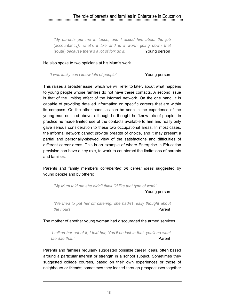## The role of parents and families in Enterprise in Education<br>municipality in the magnetic international continuum

*'My parents put me in touch, and I asked him about the job*  (accountancy*), what's it like and is it worth going down that*  (route) *because there's a lot of folk do it.'* Young person

He also spoke to two opticians at his Mum's work.

*'I was lucky cos I knew lots of people'* Young person

This raises a broader issue, which we will refer to later, about what happens to young people whose families do not have these contacts. A second issue is that of the limiting effect of the informal network. On the one hand, it is capable of providing detailed information on specific careers that are within its compass. On the other hand, as can be seen in the experience of the young man outlined above, although he thought he 'knew lots of people', in practice he made limited use of the contacts available to him and really only gave serious consideration to these two occupational areas. In most cases, the informal network cannot provide breadth of choice, and it may present a partial and personally-skewed view of the satisfactions and difficulties of different career areas. This is an example of where Enterprise in Education provision can have a key role, to work to counteract the limitations of parents and families.

Parents and family members *commented on career ideas* suggested by young people and by others:

*'My Mum told me she didn't think I'd like that type of work'* 

Young person

*'We tried to put her off catering, she hadn't really thought about the hours'* Parent

The mother of another young woman had discouraged the armed services.

*'I talked her out of it, I told her, You'll no last in that, you'll no want tae dae that.'* Parent

Parents and families regularly suggested possible career ideas, often based around a particular interest or strength in a school subject. Sometimes they suggested college courses, based on their own experiences or those of neighbours or friends; sometimes they looked through prospectuses together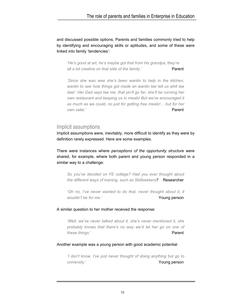and discussed possible options. Parents and families commonly tried to help by identifying and encouraging skills or aptitudes, and some of these were linked into family 'tendencies':

*'He's good at art, he's maybe got that from his grandpa, they're all a bit creative on that side of the family.'* Parent

*'Since she was wee she's been wantin to help in the kitchen, wantin to see how things got made an wantin tae tell us whit tae dae! Her Dad says tae me, that yin'll go far, she'll be running her own restaurant and keeping us in meals! But we've encouraged it as much as we could, no just for getting free meals!… but for her own sake.'* Parent

### Implicit assumptions

Implicit assumptions were, inevitably, more difficult to identify as they were by definition rarely expressed. Here are some examples.

There were instances where *perceptions of the opportunity structure* were shared, for example, where both parent and young person responded in a similar way to a challenge:

*So you've decided on FE college? Had you ever thought about the different ways of training, such as Skillseekers?* Researcher

'Oh no, I've never wanted to do that, never thought about it, it *wouldn't be for me.'* **Young person** 

#### A similar question to her mother received the response:

*'Well, we've never talked about it, she's never mentioned it, she probably knows that there's no way we'd let her go on one of these things.'* Parent

#### Another example was a young person with good academic potential

*'I don't know, I've just never thought of doing anything but go to university.'* Young person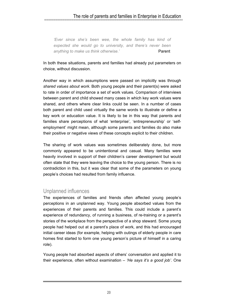## The role of parents and families in Enterprise in Education<br>municipality in the magnetic international continuum

*'Ever since she's been wee, the whole family has kind of expected she would go to university, and there's never been*  anything to make us think otherwise.' Parent

In both these situations, parents and families had already put parameters on choice, without discussion.

Another way in which assumptions were passed on implicitly was through *shared values about work*. Both young people and their parent(s) were asked to rate in order of importance a set of work values. Comparison of interviews between parent and child showed many cases in which key work values were shared, and others where clear links could be seen. In a number of cases both parent and child used virtually the same words to illustrate or define a key work or education value. It is likely to be in this way that parents and families share perceptions of what 'enterprise', 'entrepreneurship' or 'selfemployment' might mean, although some parents and families do also make their positive or negative views of these concepts explicit to their children.

The sharing of work values was sometimes deliberately done, but more commonly appeared to be unintentional and casual. Many families were heavily involved in support of their children's career development but would often state that they were leaving the choice to the young person. There is no contradiction in this, but it was clear that some of the parameters on young people's choices had resulted from family influence.

### Unplanned influences

The experiences of families and friends often affected young people's perceptions in an unplanned way. Young people absorbed values from the experiences of their parents and families. This could include a parent's experience of redundancy, of running a business, of re-training or a parent's stories of the workplace from the perspective of a shop steward. Some young people had helped out at a parent's place of work, and this had encouraged initial career ideas (for example, helping with outings of elderly people in care homes first started to form one young person's picture of himself in a caring role).

Young people had absorbed aspects of others' conversation and applied it to their experience, often without examination – *'He says it's a good job'*. One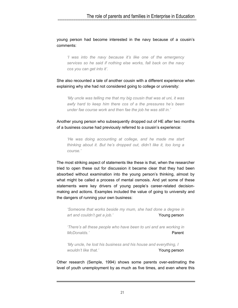young person had become interested in the navy because of a cousin's comments:

*'I was into the navy because it's like one of the emergency services so he said if nothing else works, fall back on the navy cos you can get into it'.* 

She also recounted a tale of another cousin with a different experience when explaining why she had not considered going to college or university:

*'My uncle was telling me that my big cousin that was at uni, it was awfy hard to keep him there cos of a the pressures he's been under fae course work and then fae the job he was still in.'* 

Another young person who subsequently dropped out of HE after two months of a business course had previously referred to a cousin's experience:

*'He was doing accounting at college, and he made me start thinking about it. But he's dropped out, didn't like it, too long a course.'* 

The most striking aspect of statements like these is that, when the researcher tried to open these out for discussion it became clear that they had been absorbed without examination into the young person's thinking, almost by what might be called a process of mental osmosis. And yet some of these statements were key drivers of young people's career-related decisionmaking and actions. Examples included the value of going to university and the dangers of running your own business:

*'Someone that works beside my mum, she had done a degree in art and couldn't get a job.'* Young person

*'There's all these people who have been to uni and are working in McDonalds.'* Parent

*'My uncle, he lost his business and his house and everything, I wouldn't like that.'* Young person

Other research (Semple, 1994) shows some parents over-estimating the level of youth unemployment by as much as five times, and even where this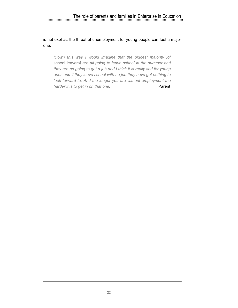## The role of parents and families in Enterprise in Education<br>manufacture in the contractor of the contractor of the contractor of the contractor of the contractor of the contractor of the contractor of the contractor of the

is not explicit, the threat of unemployment for young people can feel a major one:

*'Down this way I would imagine that the biggest majority [*of school leavers*] are all going to leave school in the summer and they are no going to get a job and I think it is really sad for young ones and if they leave school with no job they have got nothing to look forward to. And the longer you are without employment the harder it is to get in on that one.'* Parent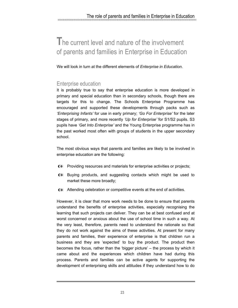## **T**he current level and nature of the involvement of parents and families in Enterprise in Education

We will look in turn at the different elements of *Enterprise in Education*.

## Enterprise education

It is probably true to say that enterprise education is more developed in primary and special education than in secondary schools, though there are targets for this to change. The Schools Enterprise Programme has encouraged and supported these developments through packs such as *'Enterprising Infants'* for use in early primary; *'Go For Enterprise'* for the later stages of primary, and more recently *'Up for Enterprise'* for S1/S2 pupils. S3 pupils have *'Get Into Enterprise'* and the Young Enterprise programme has in the past worked most often with groups of students in the upper secondary school.

The most obvious ways that parents and families are likely to be involved in enterprise education are the following:

- Providing resources and materials for enterprise activities or projects;
- Buying products, and suggesting contacts which might be used to market these more broadly;
- Attending celebration or competitive events at the end of activities.

However, it is clear that more work needs to be done to ensure that parents understand the benefits of enterprise activities, especially recognising the learning that such projects can deliver. They can be at best confused and at worst concerned or anxious about the use of school time in such a way. At the very least, therefore, parents need to understand the rationale so that they do not work against the aims of these activities. At present for many parents and families, their experience of enterprise is that children run a business and they are 'expected' to buy the product. The product then becomes the focus, rather than the 'bigger picture' – the process by which it came about and the experiences which children have had during this process. Parents and families can be active agents for supporting the development of enterprising skills and attitudes if they understand how to do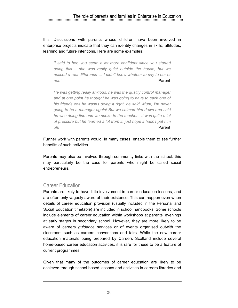this. Discussions with parents whose children have been involved in enterprise projects indicate that they can identify changes in skills, attitudes, learning and future intentions. Here are some examples:

*'I said to her, you seem a lot more confident since you started doing this – she was really quiet outside the house, but we noticed a real difference…. I didn't know whether to say to her or not.'* Parent

*He was getting really anxious, he was the quality control manager and at one point he thought he was going to have to sack one of his friends cos he wasn't doing it right, he said, Mum, I'm never going to be a manager again! But we calmed him down and said he was doing fine and we spoke to the teacher. It was quite a lot of pressure but he learned a lot from it, just hope it hasn't put him off!* Parent

Further work with parents would, in many cases, enable them to see further benefits of such activities.

Parents may also be involved through community links with the school: this may particularly be the case for parents who might be called social entrepreneurs.

### Career Education

Parents are likely to have little involvement in career education lessons, and are often only vaguely aware of their existence. This can happen even when details of career education provision (usually included in the Personal and Social Education timetable) are included in school handbooks. Some schools include elements of career education within workshops at parents' evenings at early stages in secondary school. However, they are more likely to be aware of careers *guidance* services or of events organised outwith the classroom such as careers conventions and fairs. While the new career education materials being prepared by Careers Scotland include several home-based career education activities, it is rare for these to be a feature of current programmes.

Given that many of the outcomes of career education are likely to be achieved through school based lessons and activities in careers libraries and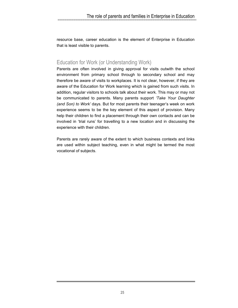resource base, career education is the element of Enterprise in Education that is least visible to parents.

## Education for Work (or Understanding Work)

Parents are often involved in giving approval for visits outwith the school environment from primary school through to secondary school and may therefore be aware of visits to workplaces. It is not clear, however, if they are aware of the Education for Work learning which is gained from such visits. In addition, regular visitors to schools talk about their work. This may or may not be communicated to parents. Many parents support *'Take Your Daughter (and Son) to Work'* days. But for most parents their teenager's week on work experience seems to be the key element of this aspect of provision. Many help their children to find a placement through their own contacts and can be involved in 'trial runs' for travelling to a new location and in discussing the experience with their children.

Parents are rarely aware of the extent to which business contexts and links are used within subject teaching, even in what might be termed the most vocational of subjects.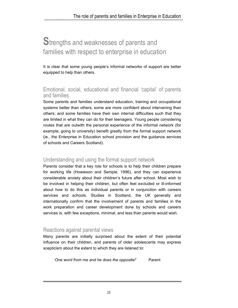## **S**trengths and weaknesses of parents and families with respect to enterprise in education

It is clear that some young people's informal networks of support are better equipped to help than others.

### Emotional, social, educational and financial 'capital' of parents and families

Some parents and families understand education, training and occupational systems better than others; some are more confident about intervening than others; and some families have their own internal difficulties such that they are limited in what they can do for their teenagers. Young people considering routes that are outwith the personal experience of the informal network (for example, going to university) benefit greatly from the formal support network (ie., the Enterprise in Education school provision and the guidance services of schools and Careers Scotland).

### Understanding and using the formal support network

Parents consider that a key role for schools is to help their children prepare for working life (Howieson and Semple, 1996), and they can experience considerable anxiety about their children's future after school. Most wish to be involved in helping their children, but often feel excluded or ill-informed about how to do this as individual parents or in conjunction with careers services and schools. Studies in Scotland, the UK generally and internationally confirm that the involvement of parents and families in the work preparation and career development done by schools and careers services is, with few exceptions, minimal, and less than parents would wish.

### Reactions against parental views

Many parents are initially surprised about the extent of their potential influence on their children, and parents of older adolescents may express scepticism about the extent to which they are listened to:

*'One word from me and he does the opposite!'* Parent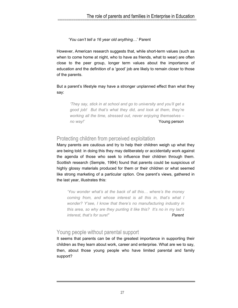#### *'You can't tell a 16 year old anything…*' Parent

However, American research suggests that, while short-term values (such as when to come home at night, who to have as friends, what to wear) are often close to the peer group, longer term values about the importance of education and the definition of a 'good' job are likely to remain closer to those of the parents.

#### But a parent's lifestyle may have a stronger unplanned effect than what they say:

*'They say, stick in at school and go to university and you'll get a good job! But that's what they did, and look at them, they're working all the time, stressed out, never enjoying themselves – no way!'* Young person

## Protecting children from perceived exploitation

Many parents are cautious and try to help their children weigh up what they are being told: in doing this they may deliberately or accidentally work against the agenda of those who seek to influence their children through them. Scottish research (Semple, 1994) found that parents could be suspicious of highly glossy materials produced for them or their children or what seemed like strong marketing of a particular option. One parent's views, gathered in the last year, illustrates this:

*'You wonder what's at the back of all this… where's the money coming from, and whose interest is all this in, that's what I wonder? Y'see, I know that there's no manufacturing industry in this area, so why are they punting it like this? It's no in my lad's interest, that's for sure!' Parent*

## Young people without parental support

It seems that parents can be of the greatest importance in supporting their children as they learn about work, career and enterprise. What are we to say, then, about those young people who have limited parental and family support?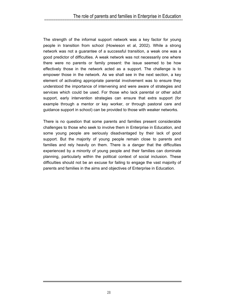## The role of parents and families in Enterprise in Education<br>municipality in the magnetic international contract in the magnetic international contract in the magnetic international contract in the magnetic international co

The strength of the informal support network was a key factor for young people in transition from school (Howieson et al, 2002). While a strong network was not a guarantee of a successful transition, a weak one was a good predictor of difficulties. A weak network was not necessarily one where there were no parents or family present: the issue seemed to be how effectively those in the network acted as a support. The challenge is to empower those in the network. As we shall see in the next section, a key element of activating appropriate parental involvement was to ensure they understood the importance of intervening and were aware of strategies and services which could be used. For those who lack parental or other adult support, early intervention strategies can ensure that extra support (for example through a mentor or key worker, or through pastoral care and guidance support in school) can be provided to those with weaker networks.

There is no question that some parents and families present considerable challenges to those who seek to involve them in Enterprise in Education, and some young people are seriously disadvantaged by their lack of good support. But the majority of young people remain close to parents and families and rely heavily on them. There is a danger that the difficulties experienced by a minority of young people and their families can dominate planning, particularly within the political context of social inclusion. These difficulties should not be an excuse for failing to engage the vast majority of parents and families in the aims and objectives of Enterprise in Education.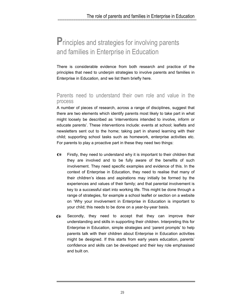## **P**rinciples and strategies for involving parents and families in Enterprise in Education

There is considerable evidence from both research and practice of the principles that need to underpin strategies to involve parents and families in Enterprise in Education, and we list them briefly here.

### Parents need to understand their own role and value in the process

A number of pieces of research, across a range of disciplines, suggest that there are two elements which identify parents most likely to take part in what might loosely be described as 'interventions intended to involve, inform or educate parents'. These interventions include: events at school; leaflets and newsletters sent out to the home; taking part in shared learning with their child; supporting school tasks such as homework, enterprise activities etc. For parents to play a proactive part in these they need two things:

- ⊕ Firstly, they need to understand why it is important to their children that they are involved and to be fully aware of the benefits of such involvement. They need specific examples and evidence of this. In the context of Enterprise in Education, they need to realise that many of their children's ideas and aspirations may initially be formed by the experiences and values of their family; and that parental involvement is key to a successful start into working life. This might be done through a range of strategies, for example a school leaflet or section on a website on 'Why your involvement in Enterprise in Education is important to your child; this needs to be done on a year-by-year basis.
- Secondly, they need to accept that they can improve their ⊕ understanding and skills in supporting their children. Interpreting this for Enterprise in Education, simple strategies and 'parent prompts' to help parents talk with their children about Enterprise in Education activities might be designed. If this starts from early years education, parents' confidence and skills can be developed and their key role emphasised and built on.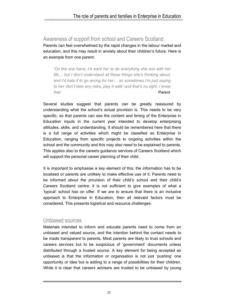### Awareness of support from school and Careers Scotland

Parents can feel overwhelmed by the rapid changes in the labour market and education, and this may result in anxiety about their children's future. Here is an example from one parent:

*'On the one hand, I'd want her to do everything she can with her life… but I don't understand all these things she's thinking about, and I'd hate it to go wrong for her… so sometimes I'm just saying to her 'don't take any risks, play it safe' and that's no right, I know that'* Parent

Several studies suggest that parents can be greatly reassured by understanding what the school's actual provision is. This needs to be very specific, so that parents can see the content and timing of the Enterprise in Education inputs in the current year intended to develop enterprising attitudes, skills, and understanding. It should be remembered here that there is a full range of activities which might be classified as Enterprise in Education, ranging from specific projects to ongoing activities within the school and the community and this may also need to be explained to parents. This applies also to the careers guidance services of Careers Scotland which will support the personal career planning of their child.

It is important to emphasise a key element of this: the information has to be localised or parents are unlikely to make effective use of it. Parents need to be informed about the provision of their child's school and their child's Careers Scotland centre: it is not sufficient to give examples of what a 'typical' school has on offer. If we are to ensure that there is an inclusive approach to Enterprise in Education, then all relevant factors must be considered. This presents logistical and resource challenges.

### Unbiased sources

Materials intended to inform and educate parents need to come from an unbiased and valued source, and the intention behind the contact needs to be made transparent to parents. Most parents are likely to trust schools and careers services but to be suspicious of 'government' documents unless distributed through a trusted source. A key element for being accepted as unbiased is that the information or organisation is not just 'pushing' one opportunity or idea but is adding to a range of possibilities for their children. While it is clear that careers advisers are trusted to be unbiased by young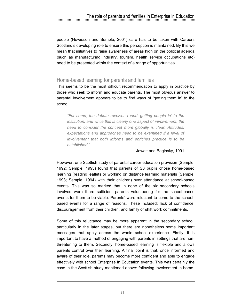people (Howieson and Semple, 2001) care has to be taken with Careers Scotland's developing role to ensure this perception is maintained. By this we mean that initiatives to raise awareness of areas high on the political agenda (such as manufacturing industry, tourism, health service occupations etc) need to be presented within the context of a range of opportunities.

## Home-based learning for parents and families

This seems to be the most difficult recommendation to apply in practice by those who seek to inform and educate parents. The most obvious answer to parental involvement appears to be to find ways of 'getting them in' to the school

*"For some, the debate revolves round 'getting people in' to the institution, and while this is clearly one aspect of involvement, the need to consider the concept more globally is clear. Attitudes, expectations and approaches need to be examined if a level of involvement that both informs and enriches practice is to be established."* 

#### Jowett and Baginsky, 1991

However, one Scottish study of parental career education provision (Semple, 1992; Semple, 1993) found that parents of S3 pupils chose home-based learning (reading leaflets or working on distance learning materials (Semple, 1993; Semple, 1994) with their children) over attendance at school-based events. This was so marked that in none of the six secondary schools involved were there sufficient parents volunteering for the school-based events for them to be viable. Parents' were reluctant to come to the schoolbased events for a range of reasons. These included: lack of confidence; discouragement from their children; and family or shift work commitments.

Some of this reluctance may be more apparent in the secondary school, particularly in the later stages, but there are nonetheless some important messages that apply across the whole school experience. Firstly, it is important to have a method of engaging with parents in settings that are nonthreatening to them. Secondly, home-based learning is flexible and allows parents control over their learning. A final point is that, once informed and aware of their role, parents may become more confident and able to engage effectively with school Enterprise in Education events. This was certainly the case in the Scottish study mentioned above: following involvement in home-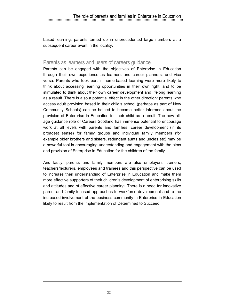based learning, parents turned up in unprecedented large numbers at a subsequent career event in the locality.

### Parents as learners and users of careers guidance

Parents can be engaged with the objectives of Enterprise in Education through their own experience as learners and career planners, and vice versa. Parents who took part in home-based learning were more likely to think about accessing learning opportunities in their own right, and to be stimulated to think about their own career development and lifelong learning as a result. There is also a potential effect in the other direction: parents who access adult provision based in their child's school (perhaps as part of New Community Schools) can be helped to become better informed about the provision of Enterprise in Education for their child as a result. The new allage guidance role of Careers Scotland has immense potential to encourage work at all levels with parents and families: career development (in its broadest sense) for family groups and individual family members (for example older brothers and sisters, redundant aunts and uncles etc) may be a powerful tool in encouraging understanding and engagement with the aims and provision of Enterprise in Education for the children of the family.

And lastly, parents and family members are also employers, trainers, teachers/lecturers, employees and trainees and this perspective can be used to increase their understanding of Enterprise in Education and make them more effective supporters of their children's development of enterprising skills and attitudes and of effective career planning. There is a need for innovative parent and family-focused approaches to workforce development and to the increased involvement of the business community in Enterprise in Education likely to result from the implementation of Determined to Succeed.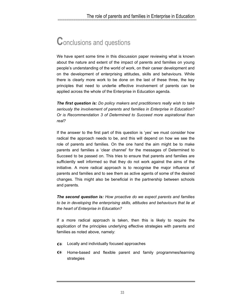## **C**onclusions and questions

We have spent some time in this discussion paper reviewing what is known about the nature and extent of the impact of parents and families on young people's understanding of the world of work, on their career development and on the development of enterprising attitudes, skills and behaviours. While there is clearly more work to be done on the last of these three, the key principles that need to underlie effective involvement of parents can be applied across the whole of the Enterprise in Education agenda.

*The first question is: Do policy makers and practitioners really wish to take seriously the involvement of parents and families in Enterprise in Education? Or is Recommendation 3 of Determined to Succeed more aspirational than real?*

If the answer to the first part of this question is 'yes' we must consider how radical the approach needs to be, and this will depend on how we see the role of parents and families. On the one hand the aim might be to make parents and families a 'clear channel' for the messages of Determined to Succeed to be passed on. This tries to ensure that parents and families are sufficiently well informed so that they do not work against the aims of the initiative. A more radical approach is to recognise the major influence of parents and families and to see them as active agents of some of the desired changes. This might also be beneficial in the partnership between schools and parents.

*The second question is: How proactive do we expect parents and families*  to be in developing the enterprising skills, attitudes and behaviours that lie at *the heart of Enterprise in Education?* 

If a more radical approach is taken, then this is likely to require the application of the principles underlying effective strategies with parents and families as noted above, namely:

- Locally and individually focused approaches
- Home-based and flexible parent and family programmes/learning strategies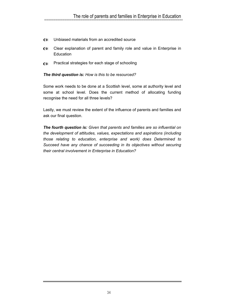- $\bullet$ Unbiased materials from an accredited source
- Clear explanation of parent and family role and value in Enterprise in **Education**
- Practical strategies for each stage of schooling ⊕

#### *The third question is: How is this to be resourced?*

Some work needs to be done at a Scottish level, some at authority level and some at school level. Does the current method of allocating funding recognise the need for all three levels?

Lastly, we must review the extent of the influence of parents and families and ask our final question.

*The fourth question is: Given that parents and families are so influential on the development of attitudes, values, expectations and aspirations (including those relating to education, enterprise and work) does Determined to Succeed have any chance of succeeding in its objectives without securing their central involvement in Enterprise in Education?*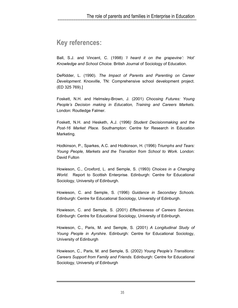## **Key references:**

Ball, S.J. and Vincent, C. (1998) *'I heard it on the grapevine': 'Hot' Knowledge and School Choice.* British Journal of Sociology of Education.

DeRidder, L. (1990). *The Impact of Parents and Parenting on Career Development*. Knoxville, TN: Comprehensive school development project. (ED 325 769).]

Foskett, N.H. and Helmsley-Brown, J. (2001) *Choosing Futures: Young People's Decision making in Education, Training and Careers Markets*. London: Routledge Falmer.

Foskett, N.H. and Hesketh, A.J. (1996*) Student Decisionmaking and the Post-16 Market Place.* Southampton: Centre for Research in Education Marketing.

Hodkinson, P., Sparkes, A.C. and Hodkinson, H. (1996) *Triumphs and Tears: Young People, Markets and the Transition from School to Work.* London: David Fulton

Howieson, C., Croxford, L. and Semple, S. (1993) *Choices in a Changing World*. Report to Scottish Enterprise. Edinburgh: Centre for Educational Sociology, University of Edinburgh.

Howieson, C. and Semple, S. (1996) *Guidance in Secondary Schools*. Edinburgh: Centre for Educational Sociology, University of Edinburgh.

Howieson, C. and Semple, S. (2001) *Effectiveness of Careers Services*. Edinburgh: Centre for Educational Sociology, University of Edinburgh.

Howieson, C., Paris, M. and Semple, S. (2001) *A Longitudinal Study of Young People in Ayrshire*. Edinburgh: Centre for Educational Sociology, University of Edinburgh

Howieson, C., Paris, M. and Semple, S. (2002) *Young People's Transitions: Careers Support from Family and Friends*. Edinburgh: Centre for Educational Sociology, University of Edinburgh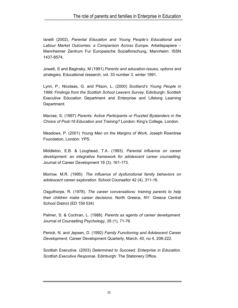Ianelli (2002), *Parental Education and Young People's Educational and Labour Market Outcomes: a Comparison Across Europe*. Arbeitspapiere – Mannheimer Zentrum Fur Europaische Sozialforschung, Mannheim: ISSN 1437-8574.

Jowett, S and Baginsky, M (1991) *Parents and education-issues, options and strategies.* Educational research, vol. 33 number 3, winter 1991.

Lynn, P., Nicolaas, G. and Pitson, L. (2000) *Scotland's Young People in 1999: Findings from the Scottish School Leavers Survey*. Edinburgh: Scottish Executive Education Department and Enterprise and Lifelong Learning Department.

Macrae, S, (1997) *Parents: Active Participants or Puzzled Bystanders in the Choice of Post-16 Education and Training?* London: King's College, London.

Meadows, P. (2001) *Young Men on the Margins of Work*, Joseph Rowntree Foundation, London: YPS.

Middleton, E.B. & Loughead, T.A. (1993)*. Parental influence on career development: an integrative framework for adolescent career counselling.*  Journal of Career Development 19 (3), 161-173.

Morrow, M.R. (1995). *The influence of dysfunctional family behaviors on adolescent career exploration.* School Counsellor 42 (4), 311-16.

Osguthorpe, R. (1978). *The career conversations: training parents to help their children make career decisions*. North Greece, NY: Greece Central School District (ED 159 534)

Palmer, S. & Cochran, L. (1988). *Parents as agents of career development.* Journal of Counselling Psychology, 35 (1), 71-76.

Penick, N. and Jepsen, D. (1992) *Family Functioning and Adolescent Career Development,* Career Development Quarterly, March, 40, no 4, 208-222.

Scottish Executive. (2003) *Determined to Succeed. Enterprise in Education. Scottish Executive Response.* Edinburgh: The Stationery Office.